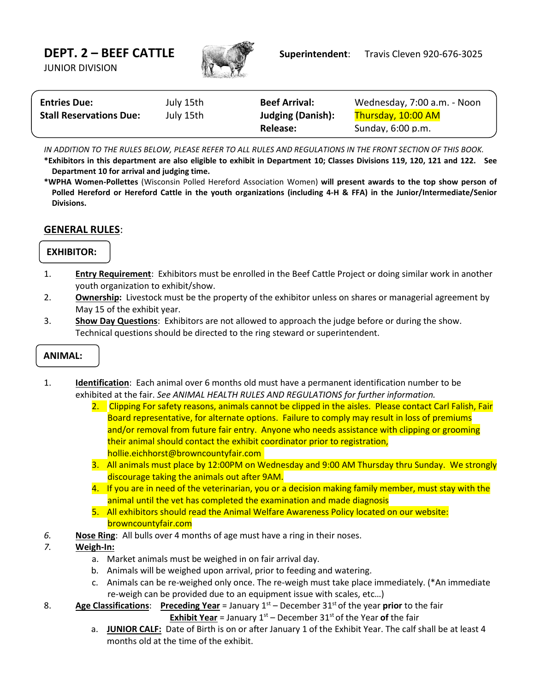JUNIOR DIVISION



| <b>Entries Due:</b>            | July 15th | <b>Beef Arrival:</b>     | Wednesday, 7:00 a.m. - Noon |
|--------------------------------|-----------|--------------------------|-----------------------------|
| <b>Stall Reservations Due:</b> | July 15th | <b>Judging (Danish):</b> | Thursday, 10:00 AM          |
|                                |           | Release:                 | Sunday, 6:00 p.m.           |

*IN ADDITION TO THE RULES BELOW, PLEASE REFER TO ALL RULES AND REGULATIONS IN THE FRONT SECTION OF THIS BOOK.*

**\*Exhibitors in this department are also eligible to exhibit in Department 10; Classes Divisions 119, 120, 121 and 122. See Department 10 for arrival and judging time.**

**\*WPHA Women-Pollettes** (Wisconsin Polled Hereford Association Women) **will present awards to the top show person of Polled Hereford or Hereford Cattle in the youth organizations (including 4-H & FFA) in the Junior/Intermediate/Senior Divisions.**

## **GENERAL RULES**:

## **EXHIBITOR:**

- 1. **Entry Requirement**: Exhibitors must be enrolled in the Beef Cattle Project or doing similar work in another youth organization to exhibit/show.
- 2. **Ownership:** Livestock must be the property of the exhibitor unless on shares or managerial agreement by May 15 of the exhibit year.
- 3. **Show Day Questions**: Exhibitors are not allowed to approach the judge before or during the show. Technical questions should be directed to the ring steward or superintendent.

# **ANIMAL:**

- 1. **Identification**: Each animal over 6 months old must have a permanent identification number to be exhibited at the fair. *See ANIMAL HEALTH RULES AND REGULATIONS for further information.*
	- 2. Clipping For safety reasons, animals cannot be clipped in the aisles. Please contact Carl Falish, Fair Board representative, for alternate options. Failure to comply may result in loss of premiums and/or removal from future fair entry. Anyone who needs assistance with clipping or grooming their animal should contact the exhibit coordinator prior to registration, hollie.eichhorst@browncountyfair.com
	- 3. All animals must place by 12:00PM on Wednesday and 9:00 AM Thursday thru Sunday. We strongly discourage taking the animals out after 9AM.
	- 4. If you are in need of the veterinarian, you or a decision making family member, must stay with the animal until the vet has completed the examination and made diagnosis
	- 5. All exhibitors should read the Animal Welfare Awareness Policy located on our website: browncountyfair.com
- *6.* **Nose Ring**: All bulls over 4 months of age must have a ring in their noses.
- *7.* **Weigh-In:**
	- a. Market animals must be weighed in on fair arrival day.
	- b. Animals will be weighed upon arrival, prior to feeding and watering.
	- c. Animals can be re-weighed only once. The re-weigh must take place immediately. (\*An immediate re-weigh can be provided due to an equipment issue with scales, etc…)

8. **Age Classifications**: **Preceding Year** = January 1st – December 31st of the year **prior** to the fair

- **Exhibit Year** = January  $1<sup>st</sup>$  December  $31<sup>st</sup>$  of the Year of the fair
- a. **JUNIOR CALF:** Date of Birth is on or after January 1 of the Exhibit Year. The calf shall be at least 4 months old at the time of the exhibit.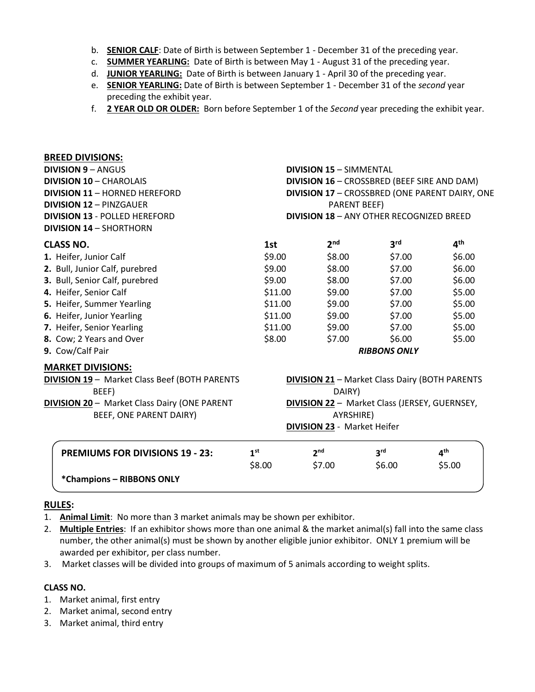- b. **SENIOR CALF**: Date of Birth is between September 1 December 31 of the preceding year.
- c. **SUMMER YEARLING:** Date of Birth is between May 1 August 31 of the preceding year.
- d. **JUNIOR YEARLING:** Date of Birth is between January 1 April 30 of the preceding year.
- e. **SENIOR YEARLING:** Date of Birth is between September 1 December 31 of the *second* year preceding the exhibit year.
- f. **2 YEAR OLD OR OLDER:** Born before September 1 of the *Second* year preceding the exhibit year.

| <b>BREED DIVISIONS:</b>                             |                                                       |                                                 |                 |                 |  |
|-----------------------------------------------------|-------------------------------------------------------|-------------------------------------------------|-----------------|-----------------|--|
| <b>DIVISION 9 - ANGUS</b>                           | <b>DIVISION 15 - SIMMENTAL</b>                        |                                                 |                 |                 |  |
| <b>DIVISION 10 - CHAROLAIS</b>                      | DIVISION 16 - CROSSBRED (BEEF SIRE AND DAM)           |                                                 |                 |                 |  |
| <b>DIVISION 11 - HORNED HEREFORD</b>                | DIVISION 17 - CROSSBRED (ONE PARENT DAIRY, ONE        |                                                 |                 |                 |  |
| <b>DIVISION 12 - PINZGAUER</b>                      | <b>PARENT BEEF)</b>                                   |                                                 |                 |                 |  |
| <b>DIVISION 13 - POLLED HEREFORD</b>                |                                                       | <b>DIVISION 18 - ANY OTHER RECOGNIZED BREED</b> |                 |                 |  |
| <b>DIVISION 14 - SHORTHORN</b>                      |                                                       |                                                 |                 |                 |  |
| <b>CLASS NO.</b>                                    | 1st                                                   | 2 <sub>nd</sub>                                 | 3 <sup>rd</sup> | 4 <sup>th</sup> |  |
| 1. Heifer, Junior Calf                              | \$9.00                                                | \$8.00                                          | \$7.00          | \$6.00          |  |
| 2. Bull, Junior Calf, purebred                      | \$9.00                                                | \$8.00                                          | \$7.00          | \$6.00          |  |
| 3. Bull, Senior Calf, purebred                      | \$9.00                                                | \$8.00                                          | \$7.00          | \$6.00          |  |
| 4. Heifer, Senior Calf                              | \$11.00                                               | \$9.00                                          | \$7.00          | \$5.00          |  |
| 5. Heifer, Summer Yearling                          | \$11.00                                               | \$9.00                                          | \$7.00          | \$5.00          |  |
| 6. Heifer, Junior Yearling                          | \$11.00                                               | \$9.00                                          | \$7.00          | \$5.00          |  |
| 7. Heifer, Senior Yearling                          | \$11.00                                               | \$9.00                                          | \$7.00          | \$5.00          |  |
| 8. Cow; 2 Years and Over                            | \$8.00                                                | \$7.00                                          | \$6.00          | \$5.00          |  |
| 9. Cow/Calf Pair                                    | <b>RIBBONS ONLY</b>                                   |                                                 |                 |                 |  |
| <b>MARKET DIVISIONS:</b>                            |                                                       |                                                 |                 |                 |  |
| <b>DIVISION 19-Market Class Beef (BOTH PARENTS</b>  | <b>DIVISION 21 - Market Class Dairy (BOTH PARENTS</b> |                                                 |                 |                 |  |
| BEEF)                                               | DAIRY)                                                |                                                 |                 |                 |  |
| <b>DIVISION 20 - Market Class Dairy (ONE PARENT</b> | <b>DIVISION 22 - Market Class (JERSEY, GUERNSEY,</b>  |                                                 |                 |                 |  |
| BEEF, ONE PARENT DAIRY)                             | AYRSHIRE)                                             |                                                 |                 |                 |  |
|                                                     |                                                       | <b>DIVISION 23 - Market Heifer</b>              |                 |                 |  |
| <b>PREMIUMS FOR DIVISIONS 19 - 23:</b>              | 1 <sup>st</sup>                                       | 2 <sub>nd</sub>                                 | 3 <sup>rd</sup> | 4 <sup>th</sup> |  |
|                                                     | \$8.00                                                | \$7.00                                          | \$6.00          | \$5.00          |  |
| *Champions - RIBBONS ONLY                           |                                                       |                                                 |                 |                 |  |

## **RULES:**

- 1. **Animal Limit**: No more than 3 market animals may be shown per exhibitor.
- 2. **Multiple Entries**: If an exhibitor shows more than one animal & the market animal(s) fall into the same class number, the other animal(s) must be shown by another eligible junior exhibitor. ONLY 1 premium will be awarded per exhibitor, per class number.
- 3. Market classes will be divided into groups of maximum of 5 animals according to weight splits.

### **CLASS NO.**

- 1. Market animal, first entry
- 2. Market animal, second entry
- 3. Market animal, third entry